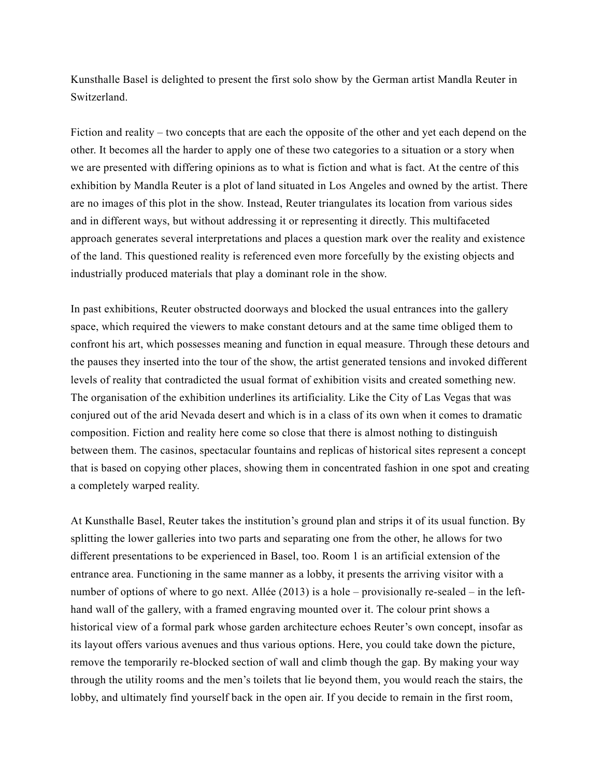Kunsthalle Basel is delighted to present the first solo show by the German artist Mandla Reuter in Switzerland.

Fiction and reality – two concepts that are each the opposite of the other and yet each depend on the other. It becomes all the harder to apply one of these two categories to a situation or a story when we are presented with differing opinions as to what is fiction and what is fact. At the centre of this exhibition by Mandla Reuter is a plot of land situated in Los Angeles and owned by the artist. There are no images of this plot in the show. Instead, Reuter triangulates its location from various sides and in different ways, but without addressing it or representing it directly. This multifaceted approach generates several interpretations and places a question mark over the reality and existence of the land. This questioned reality is referenced even more forcefully by the existing objects and industrially produced materials that play a dominant role in the show.

In past exhibitions, Reuter obstructed doorways and blocked the usual entrances into the gallery space, which required the viewers to make constant detours and at the same time obliged them to confront his art, which possesses meaning and function in equal measure. Through these detours and the pauses they inserted into the tour of the show, the artist generated tensions and invoked different levels of reality that contradicted the usual format of exhibition visits and created something new. The organisation of the exhibition underlines its artificiality. Like the City of Las Vegas that was conjured out of the arid Nevada desert and which is in a class of its own when it comes to dramatic composition. Fiction and reality here come so close that there is almost nothing to distinguish between them. The casinos, spectacular fountains and replicas of historical sites represent a concept that is based on copying other places, showing them in concentrated fashion in one spot and creating a completely warped reality.

At Kunsthalle Basel, Reuter takes the institution's ground plan and strips it of its usual function. By splitting the lower galleries into two parts and separating one from the other, he allows for two different presentations to be experienced in Basel, too. Room 1 is an artificial extension of the entrance area. Functioning in the same manner as a lobby, it presents the arriving visitor with a number of options of where to go next. Allée (2013) is a hole – provisionally re-sealed – in the lefthand wall of the gallery, with a framed engraving mounted over it. The colour print shows a historical view of a formal park whose garden architecture echoes Reuter's own concept, insofar as its layout offers various avenues and thus various options. Here, you could take down the picture, remove the temporarily re-blocked section of wall and climb though the gap. By making your way through the utility rooms and the men's toilets that lie beyond them, you would reach the stairs, the lobby, and ultimately find yourself back in the open air. If you decide to remain in the first room,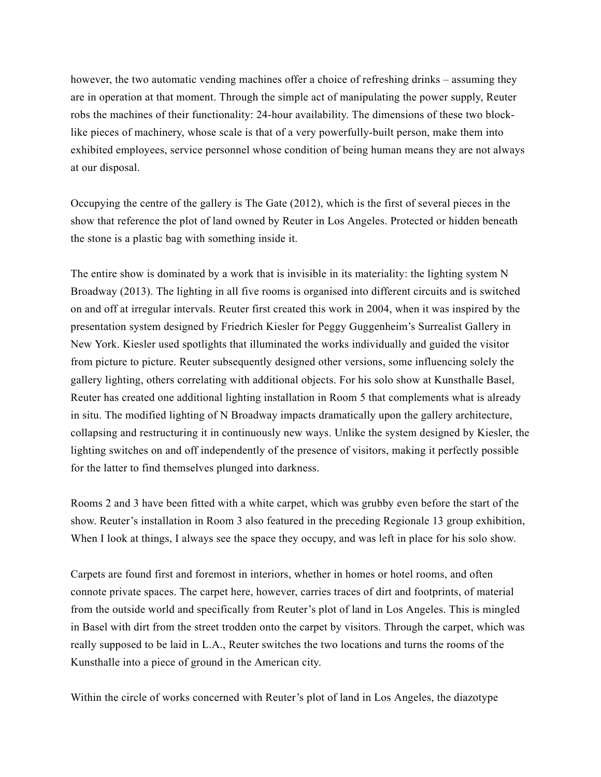however, the two automatic vending machines offer a choice of refreshing drinks – assuming they are in operation at that moment. Through the simple act of manipulating the power supply, Reuter robs the machines of their functionality: 24-hour availability. The dimensions of these two blocklike pieces of machinery, whose scale is that of a very powerfully-built person, make them into exhibited employees, service personnel whose condition of being human means they are not always at our disposal.

Occupying the centre of the gallery is The Gate (2012), which is the first of several pieces in the show that reference the plot of land owned by Reuter in Los Angeles. Protected or hidden beneath the stone is a plastic bag with something inside it.

The entire show is dominated by a work that is invisible in its materiality: the lighting system N Broadway (2013). The lighting in all five rooms is organised into different circuits and is switched on and off at irregular intervals. Reuter first created this work in 2004, when it was inspired by the presentation system designed by Friedrich Kiesler for Peggy Guggenheim's Surrealist Gallery in New York. Kiesler used spotlights that illuminated the works individually and guided the visitor from picture to picture. Reuter subsequently designed other versions, some influencing solely the gallery lighting, others correlating with additional objects. For his solo show at Kunsthalle Basel, Reuter has created one additional lighting installation in Room 5 that complements what is already in situ. The modified lighting of N Broadway impacts dramatically upon the gallery architecture, collapsing and restructuring it in continuously new ways. Unlike the system designed by Kiesler, the lighting switches on and off independently of the presence of visitors, making it perfectly possible for the latter to find themselves plunged into darkness.

Rooms 2 and 3 have been fitted with a white carpet, which was grubby even before the start of the show. Reuter's installation in Room 3 also featured in the preceding Regionale 13 group exhibition, When I look at things, I always see the space they occupy, and was left in place for his solo show.

Carpets are found first and foremost in interiors, whether in homes or hotel rooms, and often connote private spaces. The carpet here, however, carries traces of dirt and footprints, of material from the outside world and specifically from Reuter's plot of land in Los Angeles. This is mingled in Basel with dirt from the street trodden onto the carpet by visitors. Through the carpet, which was really supposed to be laid in L.A., Reuter switches the two locations and turns the rooms of the Kunsthalle into a piece of ground in the American city.

Within the circle of works concerned with Reuter's plot of land in Los Angeles, the diazotype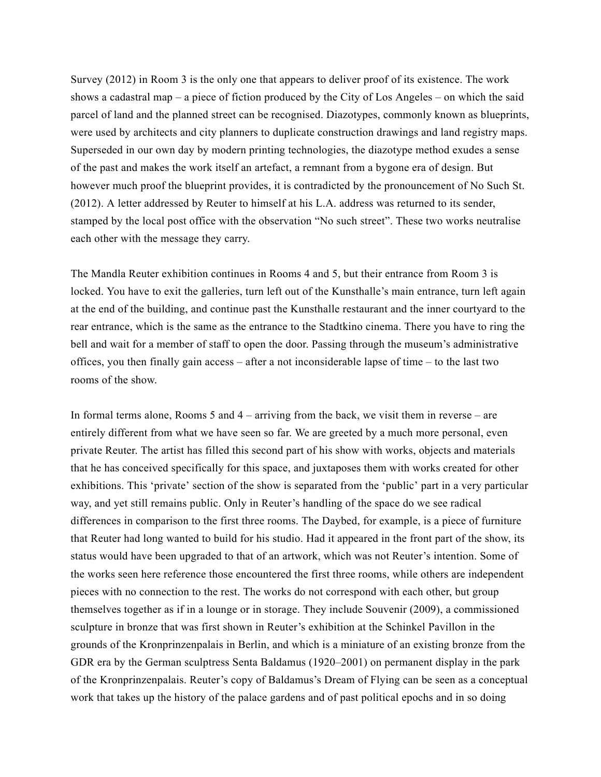Survey (2012) in Room 3 is the only one that appears to deliver proof of its existence. The work shows a cadastral map – a piece of fiction produced by the City of Los Angeles – on which the said parcel of land and the planned street can be recognised. Diazotypes, commonly known as blueprints, were used by architects and city planners to duplicate construction drawings and land registry maps. Superseded in our own day by modern printing technologies, the diazotype method exudes a sense of the past and makes the work itself an artefact, a remnant from a bygone era of design. But however much proof the blueprint provides, it is contradicted by the pronouncement of No Such St. (2012). A letter addressed by Reuter to himself at his L.A. address was returned to its sender, stamped by the local post office with the observation "No such street". These two works neutralise each other with the message they carry.

The Mandla Reuter exhibition continues in Rooms 4 and 5, but their entrance from Room 3 is locked. You have to exit the galleries, turn left out of the Kunsthalle's main entrance, turn left again at the end of the building, and continue past the Kunsthalle restaurant and the inner courtyard to the rear entrance, which is the same as the entrance to the Stadtkino cinema. There you have to ring the bell and wait for a member of staff to open the door. Passing through the museum's administrative offices, you then finally gain access – after a not inconsiderable lapse of time – to the last two rooms of the show.

In formal terms alone, Rooms 5 and 4 – arriving from the back, we visit them in reverse – are entirely different from what we have seen so far. We are greeted by a much more personal, even private Reuter. The artist has filled this second part of his show with works, objects and materials that he has conceived specifically for this space, and juxtaposes them with works created for other exhibitions. This 'private' section of the show is separated from the 'public' part in a very particular way, and yet still remains public. Only in Reuter's handling of the space do we see radical differences in comparison to the first three rooms. The Daybed, for example, is a piece of furniture that Reuter had long wanted to build for his studio. Had it appeared in the front part of the show, its status would have been upgraded to that of an artwork, which was not Reuter's intention. Some of the works seen here reference those encountered the first three rooms, while others are independent pieces with no connection to the rest. The works do not correspond with each other, but group themselves together as if in a lounge or in storage. They include Souvenir (2009), a commissioned sculpture in bronze that was first shown in Reuter's exhibition at the Schinkel Pavillon in the grounds of the Kronprinzenpalais in Berlin, and which is a miniature of an existing bronze from the GDR era by the German sculptress Senta Baldamus (1920–2001) on permanent display in the park of the Kronprinzenpalais. Reuter's copy of Baldamus's Dream of Flying can be seen as a conceptual work that takes up the history of the palace gardens and of past political epochs and in so doing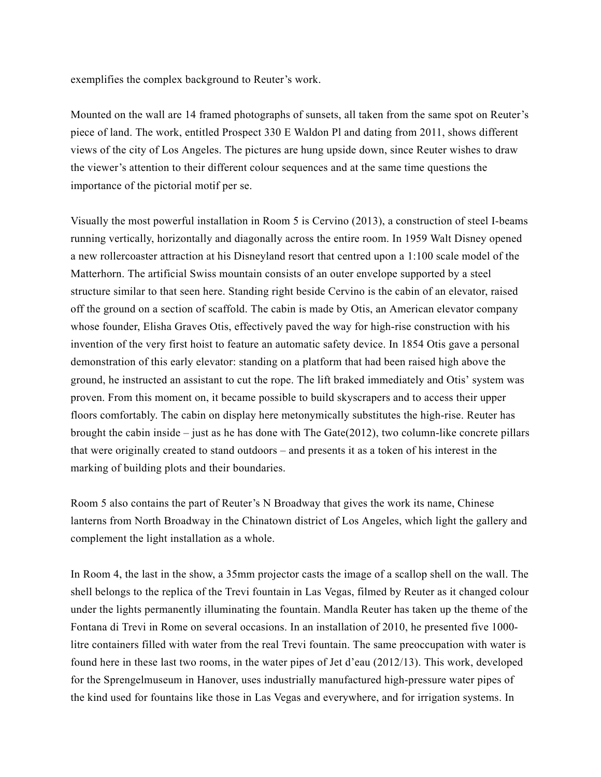exemplifies the complex background to Reuter's work.

Mounted on the wall are 14 framed photographs of sunsets, all taken from the same spot on Reuter's piece of land. The work, entitled Prospect 330 E Waldon Pl and dating from 2011, shows different views of the city of Los Angeles. The pictures are hung upside down, since Reuter wishes to draw the viewer's attention to their different colour sequences and at the same time questions the importance of the pictorial motif per se.

Visually the most powerful installation in Room 5 is Cervino (2013), a construction of steel I-beams running vertically, horizontally and diagonally across the entire room. In 1959 Walt Disney opened a new rollercoaster attraction at his Disneyland resort that centred upon a 1:100 scale model of the Matterhorn. The artificial Swiss mountain consists of an outer envelope supported by a steel structure similar to that seen here. Standing right beside Cervino is the cabin of an elevator, raised off the ground on a section of scaffold. The cabin is made by Otis, an American elevator company whose founder, Elisha Graves Otis, effectively paved the way for high-rise construction with his invention of the very first hoist to feature an automatic safety device. In 1854 Otis gave a personal demonstration of this early elevator: standing on a platform that had been raised high above the ground, he instructed an assistant to cut the rope. The lift braked immediately and Otis' system was proven. From this moment on, it became possible to build skyscrapers and to access their upper floors comfortably. The cabin on display here metonymically substitutes the high-rise. Reuter has brought the cabin inside – just as he has done with The Gate $(2012)$ , two column-like concrete pillars that were originally created to stand outdoors – and presents it as a token of his interest in the marking of building plots and their boundaries.

Room 5 also contains the part of Reuter's N Broadway that gives the work its name, Chinese lanterns from North Broadway in the Chinatown district of Los Angeles, which light the gallery and complement the light installation as a whole.

In Room 4, the last in the show, a 35mm projector casts the image of a scallop shell on the wall. The shell belongs to the replica of the Trevi fountain in Las Vegas, filmed by Reuter as it changed colour under the lights permanently illuminating the fountain. Mandla Reuter has taken up the theme of the Fontana di Trevi in Rome on several occasions. In an installation of 2010, he presented five 1000 litre containers filled with water from the real Trevi fountain. The same preoccupation with water is found here in these last two rooms, in the water pipes of Jet d'eau (2012/13). This work, developed for the Sprengelmuseum in Hanover, uses industrially manufactured high-pressure water pipes of the kind used for fountains like those in Las Vegas and everywhere, and for irrigation systems. In